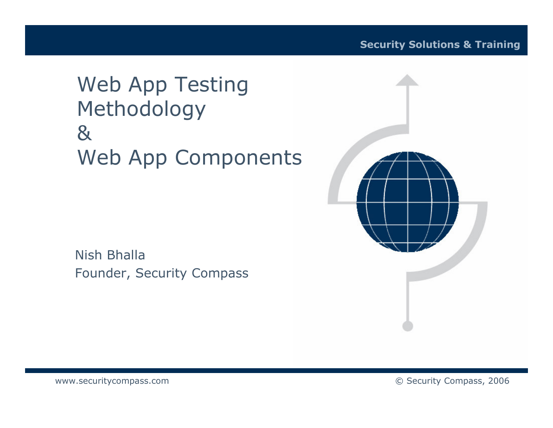#### **Web App Testing** Methodology  $8<sub>k</sub>$ **Web App Components**

Nish Bhalla Founder, Security Compass



www.securitycompass.com

© Security Compass, 2006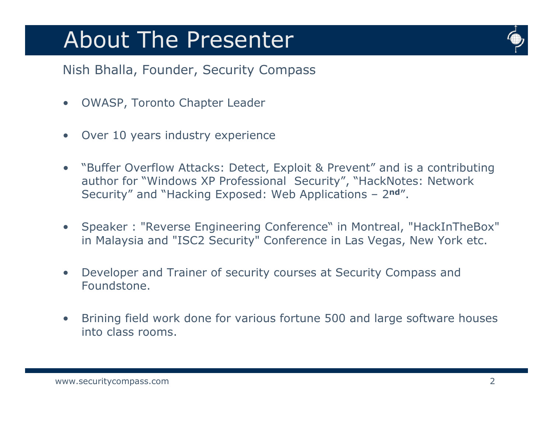### **About The Presenter**



Nish Bhalla, Founder, Security Compass

- **OWASP, Toronto Chapter Leader**  $\bullet$
- Over 10 years industry experience  $\bullet$
- "Buffer Overflow Attacks: Detect, Exploit & Prevent" and is a contributing  $\bullet$ author for "Windows XP Professional Security", "HackNotes: Network Security" and "Hacking Exposed: Web Applications - 2nd".
- Speaker: "Reverse Engineering Conference" in Montreal, "HackInTheBox"  $\bullet$ in Malaysia and "ISC2 Security" Conference in Las Vegas, New York etc.
- Developer and Trainer of security courses at Security Compass and  $\bullet$ Foundstone.
- Brining field work done for various fortune 500 and large software houses  $\bullet$ into class rooms.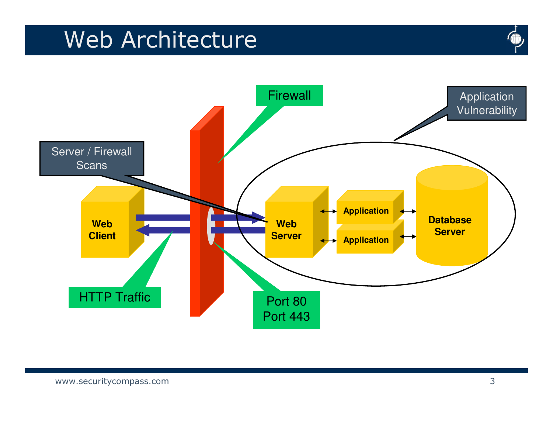# Web Architecture



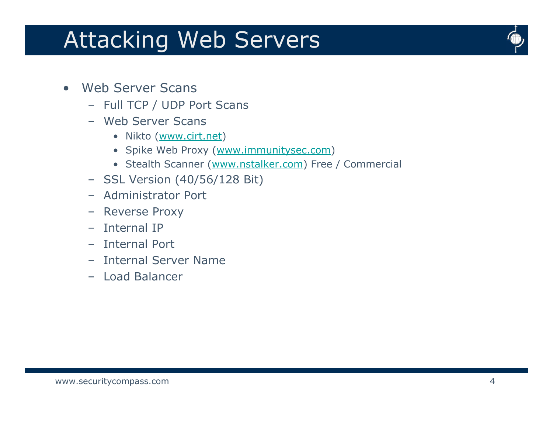# **Attacking Web Servers**



- **Web Server Scans**  $\bullet$ 
	- Full TCP / UDP Port Scans
	- Web Server Scans
		- · Nikto (www.cirt.net)
		- Spike Web Proxy (www.immunitysec.com)
		- Stealth Scanner (www.nstalker.com) Free / Commercial
	- SSL Version (40/56/128 Bit)
	- Administrator Port
	- Reverse Proxy
	- Internal IP
	- Internal Port
	- Internal Server Name
	- Load Balancer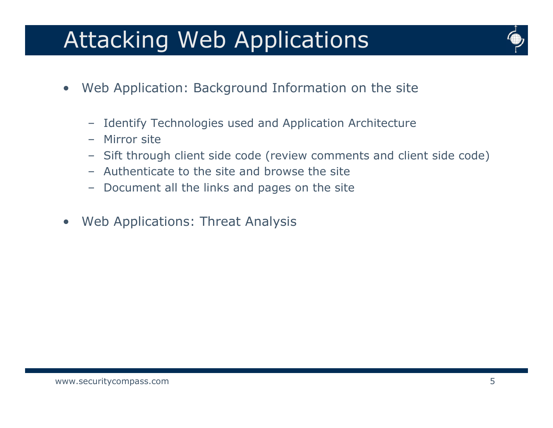# **Attacking Web Applications**



- Web Application: Background Information on the site  $\bullet$ 
	- Identify Technologies used and Application Architecture
	- Mirror site  $\equiv$
	- Sift through client side code (review comments and client side code)
	- Authenticate to the site and browse the site
	- Document all the links and pages on the site
- Web Applications: Threat Analysis  $\bullet$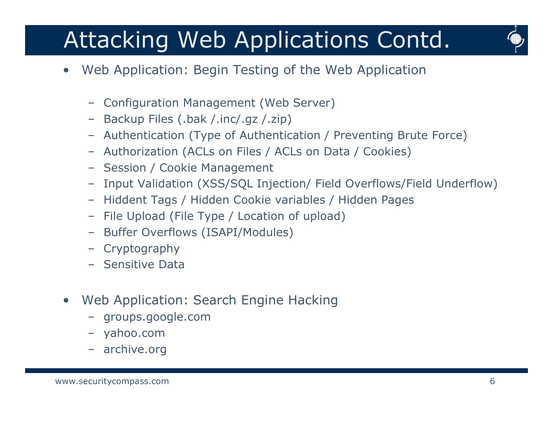# Attacking Web Applications Contd.



- Web Application: Begin Testing of the Web Application
	- Configuration Management (Web Server)
	- Backup Files (.bak /.inc/.gz /.zip)
	- Authentication (Type of Authentication / Preventing Brute Force)
	- Authorization (ACLs on Files / ACLs on Data / Cookies)
	- Session / Cookie Management
	- Input Validation (XSS/SQL Injection/ Field Overflows/Field Underflow)
	- Hiddent Tags / Hidden Cookie variables / Hidden Pages
	- File Upload (File Type / Location of upload)
	- Buffer Overflows (ISAPI/Modules)
	- Cryptography
	- Sensitive Data
- Web Application: Search Engine Hacking  $\bullet$ 
	- groups.google.com
	- vahoo.com
	- archive.org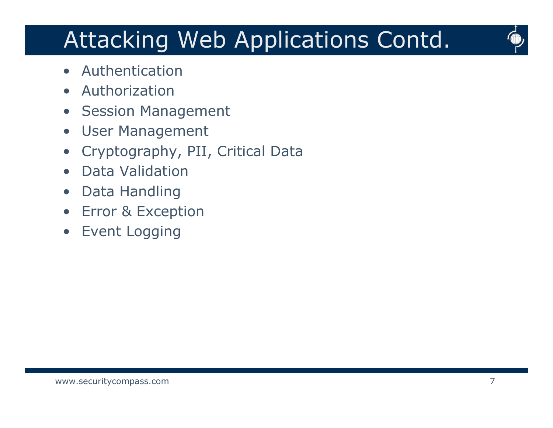# Attacking Web Applications Contd.



- Authentication
- Authorization  $\bullet$
- Session Management
- **User Management**  $\bullet$
- Cryptography, PII, Critical Data
- **Data Validation**  $\bullet$
- Data Handling
- **Error & Exception**  $\bullet$
- **Event Logging**  $\bullet$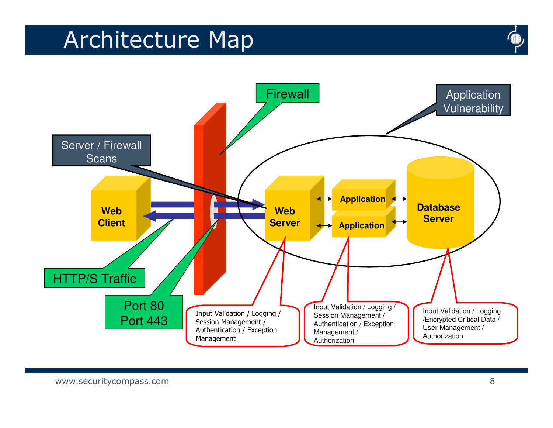# Architecture Map